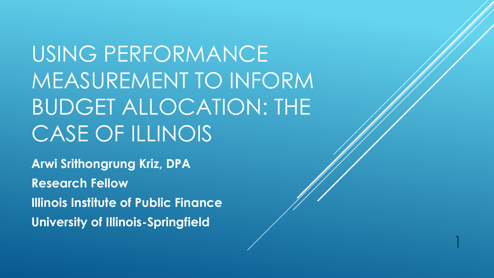USING PERFORMANCE MEASUREMENT TO INFORM BUDGET ALLOCATION: THE CASE OF ILLINOIS

1

**Arwi Srithongrung Kriz, DPA Research Fellow Illinois Institute of Public Finance University of Illinois-Springfield**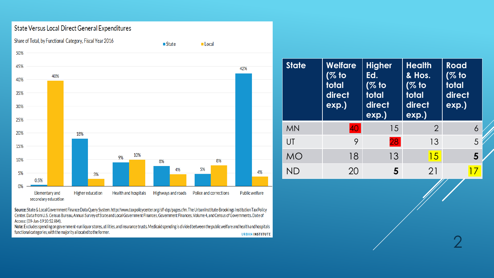#### State Versus Local Direct General Expenditures



Source: State & Local Government Finance Data Query System. http://www.taxpolicycenter.org/slf-dqs/pages.cfm. The Urban Institute-Brookings Institution Tax Policy Center. Data from U.S. Census Bureau, Annual Survey of State and Local Government Finances, Government Finances, Volume 4, and Census of Governments. Date of Access: (09-Jan-1910:52 AM).

Note: Excludes spending on government-run liquor stores, utilities, and insurance trusts. Medicaid spending is divided between the public welfare and health and hospitals functional categories, with the majority allocated to the former. **URBANINSTITUTE** 

| <b>State</b> | <b>Welfare</b><br>(% to<br>total<br>direct<br>$exp.$ ) | <b>Higher</b><br><b>Health</b><br>& Hos.<br>Ed.<br>(% to<br>(% to<br>total<br>total<br>direct<br>direct<br>exp.)<br>exp.) |                | <b>Road</b><br>(% to<br>total<br>direct<br>$exp.$ ) |  |
|--------------|--------------------------------------------------------|---------------------------------------------------------------------------------------------------------------------------|----------------|-----------------------------------------------------|--|
| <b>MN</b>    | 40                                                     | 15                                                                                                                        | $\overline{2}$ | 6                                                   |  |
| UT           | 9                                                      | 28                                                                                                                        | 13             | 5                                                   |  |
| MO           | 18                                                     | 13                                                                                                                        | 15             | 5                                                   |  |
| ND           | 20                                                     | 5                                                                                                                         | 21             |                                                     |  |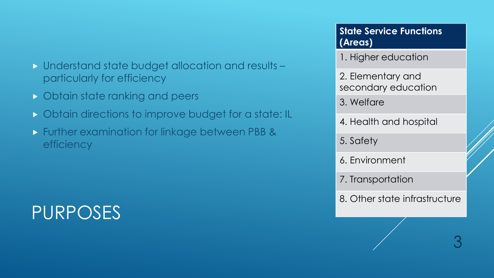- Understand state budget allocation and results particularly for efficiency
- **D** Obtain state ranking and peers
- **D** Obtain directions to improve budget for a state: IL
- **Further examination for linkage between PBB &** efficiency

# PURPOSES

**State Service Functions (Areas)**

1. Higher education

2. Elementary and secondary education

3. Welfare

4. Health and hospital

5. Safety

6. Environment

7. Transportation

8. Other state infrastructure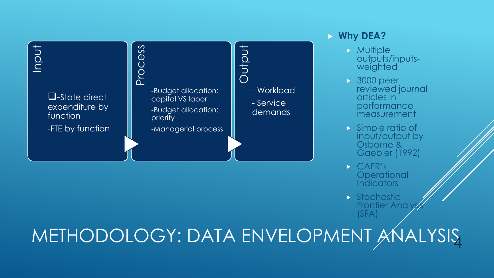

### **Why DEA?**

- $\triangleright$  Multiple outputs/inputs- weighted
- **3000 peer** reviewed journal articles in performance measurement
- Simple ratio of input/output by Osborne & Gaebler (1992)
- CAFR's **Operational Indicators**
- $\blacktriangleright$  Stochastic **Frontier Analy** (SFA)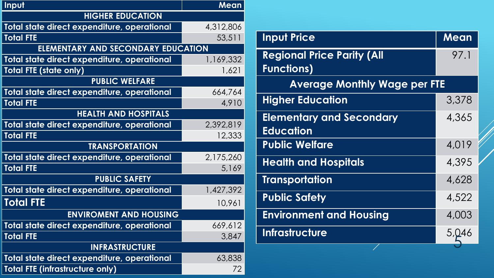| Input                                       | Mean      |  |  |  |
|---------------------------------------------|-----------|--|--|--|
| <b>HIGHER EDUCATION</b>                     |           |  |  |  |
| Total state direct expenditure, operational | 4,312,806 |  |  |  |
| <b>Total FTE</b>                            | 53,511    |  |  |  |
| ELEMENTARY AND SECONDARY EDUCATION          |           |  |  |  |
| Total state direct expenditure, operational | 1,169,332 |  |  |  |
| <b>Total FTE (state only)</b>               | 1,621     |  |  |  |
| <b>PUBLIC WELFARE</b>                       |           |  |  |  |
| Total state direct expenditure, operational | 664,764   |  |  |  |
| <b>Total FTE</b>                            | 4,910     |  |  |  |
| <b>HEALTH AND HOSPITALS</b>                 |           |  |  |  |
| Total state direct expenditure, operational | 2,392,819 |  |  |  |
| <b>Total FTE</b>                            | 12,333    |  |  |  |
| <b>TRANSPORTATION</b>                       |           |  |  |  |
| Total state direct expenditure, operational | 2,175,260 |  |  |  |
| <b>Total FTE</b>                            | 5,169     |  |  |  |
| <b>PUBLIC SAFETY</b>                        |           |  |  |  |
| Total state direct expenditure, operational | 1,427,392 |  |  |  |
| <b>Total FTE</b>                            | 10,961    |  |  |  |
| <b>ENVIROMENT AND HOUSING</b>               |           |  |  |  |
| Total state direct expenditure, operational | 669,612   |  |  |  |
| <b>Total FTE</b>                            | 3,847     |  |  |  |
| <b>INFRASTRUCTURE</b>                       |           |  |  |  |
| Total state direct expenditure, operational | 63,838    |  |  |  |
| <b>Total FTE (infrastructure only)</b>      | 72        |  |  |  |

| <b>Input Price</b>                  | Mean  |
|-------------------------------------|-------|
| <b>Regional Price Parity (All</b>   | 97.1  |
| <b>Functions)</b>                   |       |
| <b>Average Monthly Wage per FTE</b> |       |
| <b>Higher Education</b>             | 3,378 |
| <b>Elementary and Secondary</b>     | 4,365 |
| <b>Education</b>                    |       |
| <b>Public Welfare</b>               | 4,019 |
| <b>Health and Hospitals</b>         | 4,395 |
| <b>Transportation</b>               | 4,628 |
| <b>Public Safety</b>                | 4,522 |
| <b>Environment and Housing</b>      | 4,003 |
| <b>Infrastructure</b>               | 5,046 |
|                                     |       |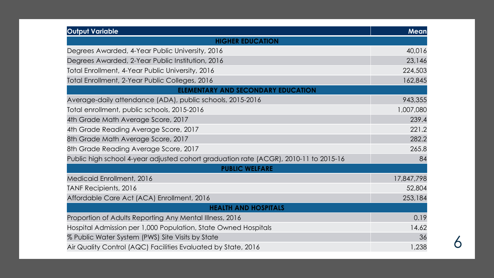| Output Variable                                                                      | Mean       |
|--------------------------------------------------------------------------------------|------------|
| <b>HIGHER EDUCATION</b>                                                              |            |
| Degrees Awarded, 4-Year Public University, 2016                                      | 40,016     |
| Degrees Awarded, 2-Year Public Institution, 2016                                     | 23,146     |
| Total Enrollment, 4-Year Public University, 2016                                     | 224,503    |
| Total Enrollment, 2-Year Public Colleges, 2016                                       | 162,845    |
| <b>ELEMENTARY AND SECONDARY EDUCATION</b>                                            |            |
| Average-daily attendance (ADA), public schools, 2015-2016                            | 943,355    |
| Total enrollment, public schools, 2015-2016                                          | 1,007,080  |
| 4th Grade Math Average Score, 2017                                                   | 239.4      |
| 4th Grade Reading Average Score, 2017                                                | 221.2      |
| 8th Grade Math Average Score, 2017                                                   | 282.2      |
| 8th Grade Reading Average Score, 2017                                                | 265.8      |
| Public high school 4-year adjusted cohort graduation rate (ACGR), 2010-11 to 2015-16 | 84         |
| <b>PUBLIC WELFARE</b>                                                                |            |
| Medicaid Enrollment, 2016                                                            | 17,847,798 |
| TANF Recipients, 2016                                                                | 52,804     |
| Affordable Care Act (ACA) Enrollment, 2016                                           | 253,184    |
| <b>HEALTH AND HOSPITALS</b>                                                          |            |
| Proportion of Adults Reporting Any Mental Illness, 2016                              | 0.19       |
| Hospital Admission per 1,000 Population, State Owned Hospitals                       | 14.62      |
| % Public Water System (PWS) Site Visits by State                                     | 36         |
| Air Quality Control (AQC) Facilities Evaluated by State, 2016                        | 1,238      |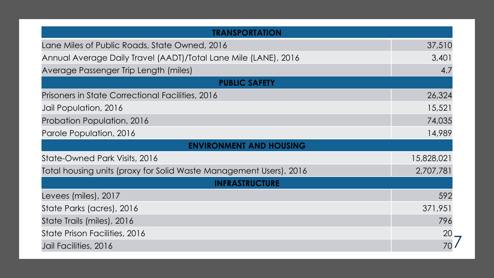| TRANSPORTATION                                                     |            |
|--------------------------------------------------------------------|------------|
| Lane Miles of Public Roads, State Owned, 2016                      | 37,510     |
| Annual Average Daily Travel (AADT)/Total Lane Mile (LANE), 2016    | 3,401      |
| Average Passenger Trip Length (miles)                              | 4.7        |
| <b>PUBLIC SAFETY</b>                                               |            |
| Prisoners in State Correctional Facilities, 2016                   | 26,324     |
| Jail Population, 2016                                              | 15,521     |
| Probation Population, 2016                                         | 74,035     |
| Parole Population, 2016                                            | 14,989     |
| <b>ENVIRONMENT AND HOUSING</b>                                     |            |
| State-Owned Park Visits, 2016                                      | 15,828,021 |
| Total housing units (proxy for Solid Waste Management Users), 2016 | 2,707,781  |
| <b>INFRASTRUCTURE</b>                                              |            |
| Levees (miles), 2017                                               | 592        |
| State Parks (acres), 2016                                          | 371,951    |
| State Trails (miles), 2016                                         | 796        |
| State Prison Facilities, 2016                                      | 20         |
| Jail Facilities, 2016                                              |            |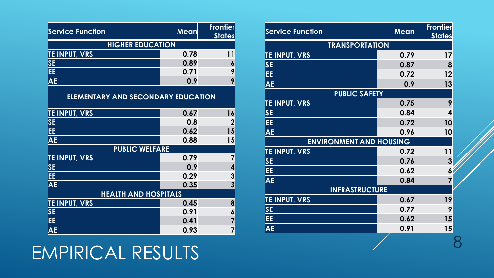## EMPIRICAL RESULTS

| <b>Service Function</b>                   | Mean | <b>Frontier</b><br><b>States</b> |  |  |  |
|-------------------------------------------|------|----------------------------------|--|--|--|
| <b>HIGHER EDUCATION</b>                   |      |                                  |  |  |  |
| <b>TE INPUT, VRS</b>                      | 0.78 | 11                               |  |  |  |
| <b>SE</b>                                 | 0.89 | 6                                |  |  |  |
| EE.                                       | 0.71 | 9                                |  |  |  |
| <b>AE</b>                                 | 0.9  | 9                                |  |  |  |
| <b>ELEMENTARY AND SECONDARY EDUCATION</b> |      |                                  |  |  |  |
| <b>TE INPUT, VRS</b>                      | 0.67 | 16                               |  |  |  |
| <b>SE</b>                                 | 0.8  | $\mathbf 2$                      |  |  |  |
| EE.                                       | 0.62 | 15                               |  |  |  |
| <b>AE</b>                                 | 0.88 | 15                               |  |  |  |
| <b>PUBLIC WELFARE</b>                     |      |                                  |  |  |  |
| <b>TE INPUT, VRS</b>                      | 0.79 |                                  |  |  |  |
| <b>SE</b>                                 | 0.9  | 4                                |  |  |  |
| EE.                                       | 0.29 | 3                                |  |  |  |
| <b>AE</b>                                 | 0.35 | 3                                |  |  |  |
| <b>HEALTH AND HOSPITALS</b>               |      |                                  |  |  |  |
| <b>TE INPUT, VRS</b>                      | 0.45 | 8                                |  |  |  |
| <b>SE</b>                                 | 0.91 | 6                                |  |  |  |
| EE.                                       | 0.41 | $\overline{7}$                   |  |  |  |
| <b>AE</b>                                 | 0.93 | 7                                |  |  |  |

| <b>Service Function</b>        | <b>Mean</b> | <b>Frontier</b><br><b>States</b> |  |  |  |
|--------------------------------|-------------|----------------------------------|--|--|--|
| <b>TRANSPORTATION</b>          |             |                                  |  |  |  |
| <b>TE INPUT, VRS</b>           | 0.79        | 17                               |  |  |  |
| <b>SE</b>                      | 0.87        | 8                                |  |  |  |
| EE                             | 0.72        | 12                               |  |  |  |
| <b>AE</b>                      | 0.9         | 13                               |  |  |  |
| <b>PUBLIC SAFETY</b>           |             |                                  |  |  |  |
| <b>TE INPUT, VRS</b>           | 0.75        | 9                                |  |  |  |
| <b>SE</b>                      | 0.84        | 4                                |  |  |  |
| EE                             | 0.72        | 10                               |  |  |  |
| <b>AE</b>                      | 0.96        | 10                               |  |  |  |
| <b>ENVIRONMENT AND HOUSING</b> |             |                                  |  |  |  |
| <b>TE INPUT, VRS</b>           | 0.72        | 11                               |  |  |  |
| <b>SE</b>                      | 0.76        | $\overline{3}$                   |  |  |  |
| EE                             | 0.62        | $\frac{1}{2}$                    |  |  |  |
| <b>AE</b>                      | 0.84        | 7                                |  |  |  |
| <b>INFRASTRUCTURE</b>          |             |                                  |  |  |  |
| <b>TE INPUT, VRS</b>           | 0.67        | 19                               |  |  |  |
| <b>SE</b>                      | 0.77        | 9                                |  |  |  |
| EE                             | 0.62        | 15                               |  |  |  |
| <b>AE</b>                      | 0.91        | 15                               |  |  |  |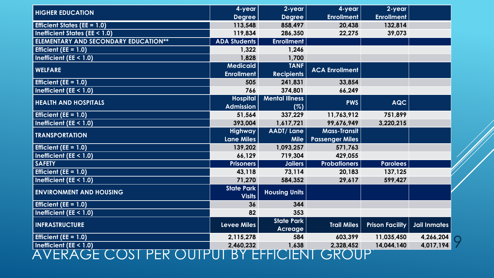| <b>HIGHER EDUCATION</b>                     | 4-year              | 2-year                | 4-year                 | 2-year                 |                     |  |
|---------------------------------------------|---------------------|-----------------------|------------------------|------------------------|---------------------|--|
|                                             | <b>Degree</b>       | <b>Degree</b>         | <b>Enrollment</b>      | <b>Enrollment</b>      |                     |  |
| <b>Efficient States (EE = 1.0)</b>          | 113,548             | 858,497               | 20,438                 | 132,814                |                     |  |
| <b>Inefficient States (EE &lt; 1.0)</b>     | 119,834             | 286,350               | 22,275                 | 39,073                 |                     |  |
| <b>ELEMENTARY AND SECONDARY EDUCATION**</b> | <b>ADA Students</b> | <b>Enrollment</b>     |                        |                        |                     |  |
| Efficient ( $EE = 1.0$ )                    | 1,322               | 1,246                 |                        |                        |                     |  |
| Inefficient (EE < $1.0$ )                   | 1,828               | 1,700                 |                        |                        |                     |  |
| <b>WELFARE</b>                              | <b>Medicaid</b>     | <b>TANF</b>           | <b>ACA Enrollment</b>  |                        |                     |  |
|                                             | <b>Enrollment</b>   | <b>Recipients</b>     |                        |                        |                     |  |
| Efficient (EE = $1.0$ )                     | 505                 | 241,831               | 33,854                 |                        |                     |  |
| Inefficient ( $EE < 1.0$ )                  | 766                 | 374,801               | 66,249                 |                        |                     |  |
| <b>HEALTH AND HOSPITALS</b>                 | <b>Hospital</b>     | <b>Mental Illness</b> | <b>PWS</b>             | <b>AQC</b>             |                     |  |
|                                             | <b>Admission</b>    | (%)                   |                        |                        |                     |  |
| Efficient ( $EE = 1.0$ )                    | 51,564              | 337,229               | 11,763,912             | 751,899                |                     |  |
| Inefficient ( $EE < 1.0$ )                  | 393,004             | 1,617,721             | 99,676,949             | 3,220,215              |                     |  |
| <b>TRANSPORTATION</b>                       | <b>Highway</b>      | <b>AADT/Lane</b>      | <b>Mass-Transit</b>    |                        |                     |  |
|                                             | <b>Lane Miles</b>   | Mile                  | <b>Passenger Miles</b> |                        |                     |  |
| Efficient ( $EE = 1.0$ )                    | 139,202             | 1,093,257             | 571,763                |                        |                     |  |
| Inefficient ( $EE < 1.0$ )                  | 66,129              | 719,304               | 429,055                |                        |                     |  |
| <b>SAFETY</b>                               | <b>Prisoners</b>    | Jailers               | <b>Probationers</b>    | <b>Parolees</b>        |                     |  |
| Efficient (EE = $1.0$ )                     | 43,118              | 73,114                | 20,183                 | 137,125                |                     |  |
| Inefficient ( $EE < 1.0$ )                  | 71,270              | 584,352               | 29,617                 | 599,427                |                     |  |
| <b>ENVIRONMENT AND HOUSING</b>              | <b>State Park</b>   | <b>Housing Units</b>  |                        |                        |                     |  |
|                                             | <b>Visits</b>       |                       |                        |                        |                     |  |
| Efficient ( $EE = 1.0$ )                    | 36                  | 344                   |                        |                        |                     |  |
| <b>Inefficient (EE &lt; 1.0)</b>            | 82                  | 353                   |                        |                        |                     |  |
| <b>INFRASTRUCTURE</b>                       | <b>Levee Miles</b>  | <b>State Park</b>     | <b>Trail Miles</b>     | <b>Prison Facility</b> | <b>Jail Inmates</b> |  |
|                                             |                     | <b>Acreage</b>        |                        |                        |                     |  |
| Efficient ( $EE = 1.0$ )                    | 2,115,278           | 584                   | 603,399                | 11,035,450             | 4,266,204           |  |
| Inefficient ( $EE < 1.0$ )                  | 2,460,232           | 1,638                 | 2,328,452              | 14,044,140             | 4,017,194           |  |
| EKA<br>$\sqrt{2}$                           | В                   |                       | .7K'                   |                        |                     |  |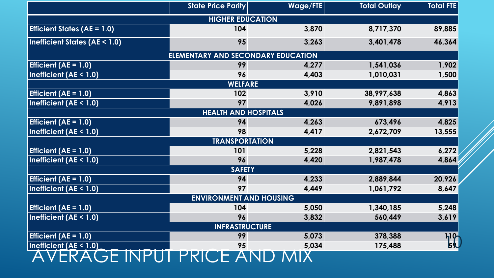|                                                 | <b>State Price Parity</b>                 | Wage/FTE | <b>Total Outlay</b> | <b>Total FTE</b> |  |  |  |
|-------------------------------------------------|-------------------------------------------|----------|---------------------|------------------|--|--|--|
|                                                 | <b>HIGHER EDUCATION</b>                   |          |                     |                  |  |  |  |
| <b>Efficient States (AE = <math>1.0</math>)</b> | 104                                       | 3,870    | 8,717,370           | 89,885           |  |  |  |
| <b>Inefficient States (AE &lt; 1.0)</b>         | 95                                        | 3,263    | 3,401,478           | 46,364           |  |  |  |
|                                                 | <b>ELEMENTARY AND SECONDARY EDUCATION</b> |          |                     |                  |  |  |  |
| Efficient ( $AE = 1.0$ )                        | 99                                        | 4,277    | 1,541,036           | 1,902            |  |  |  |
| Inefficient $(AE < 1.0)$                        | 96                                        | 4,403    | 1,010,031           | 1,500            |  |  |  |
|                                                 | <b>WELFARE</b>                            |          |                     |                  |  |  |  |
| Efficient ( $AE = 1.0$ )                        | 102                                       | 3,910    | 38,997,638          | 4,863            |  |  |  |
| Inefficient $(AE < 1.0)$                        | 97                                        | 4,026    | 9,891,898           | 4,913            |  |  |  |
|                                                 | <b>HEALTH AND HOSPITALS</b>               |          |                     |                  |  |  |  |
| Efficient ( $AE = 1.0$ )                        | 94                                        | 4,263    | 673,496             | 4,825            |  |  |  |
| Inefficient $(AE < 1.0)$                        | 98                                        | 4,417    | 2,672,709           | 13,555           |  |  |  |
|                                                 | <b>TRANSPORTATION</b>                     |          |                     |                  |  |  |  |
| Efficient ( $AE = 1.0$ )                        | 101                                       | 5,228    | 2,821,543           | 6,272            |  |  |  |
| Inefficient $(AE < 1.0)$                        | 96                                        | 4,420    | 1,987,478           | 4,864            |  |  |  |
|                                                 | <b>SAFETY</b>                             |          |                     |                  |  |  |  |
| Efficient ( $AE = 1.0$ )                        | 94                                        | 4,233    | 2,889,844           | 20,926           |  |  |  |
| Inefficient $(AE < 1.0)$                        | 97                                        | 4,449    | 1,061,792           | 8,647            |  |  |  |
|                                                 | <b>ENVIRONMENT AND HOUSING</b>            |          |                     |                  |  |  |  |
| Efficient ( $AE = 1.0$ )                        | 104                                       | 5,050    | 1,340,185           | 5,248            |  |  |  |
| Inefficient $(AE < 1.0)$                        | 96                                        | 3,832    | 560,449             | 3,619            |  |  |  |
| <b>INFRASTRUCTURE</b>                           |                                           |          |                     |                  |  |  |  |
| Efficient ( $AE = 1.0$ )                        | 99                                        | 5,073    | 378,388             | ካየ               |  |  |  |
| Inefficient (AE < 1.0)                          | 95                                        | 5,034    | 175,488             |                  |  |  |  |
|                                                 | GE INPUT PRICE AND                        |          |                     |                  |  |  |  |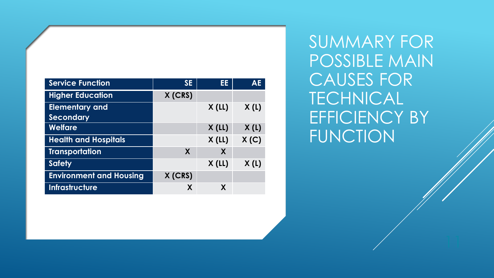| <b>Service Function</b>        | <b>SE</b> | EE       | <b>AE</b> |
|--------------------------------|-----------|----------|-----------|
| <b>Higher Education</b>        | X (CRS)   |          |           |
| <b>Elementary and</b>          |           | X(L)     | X(L)      |
| <b>Secondary</b>               |           |          |           |
| <b>Welfare</b>                 |           | $X$ (LL) | X(L)      |
| <b>Health and Hospitals</b>    |           | X(L)     | X(C)      |
| Transportation                 | X         | X        |           |
| <b>Safety</b>                  |           | $X$ (LL) | X(L)      |
| <b>Environment and Housing</b> | X (CRS)   |          |           |
| <b>Infrastructure</b>          | X         | X        |           |

SUMMARY FOR POSSIBLE MAIN CAUSES FOR TECHNICAL EFFICIENCY BY FUNCTION